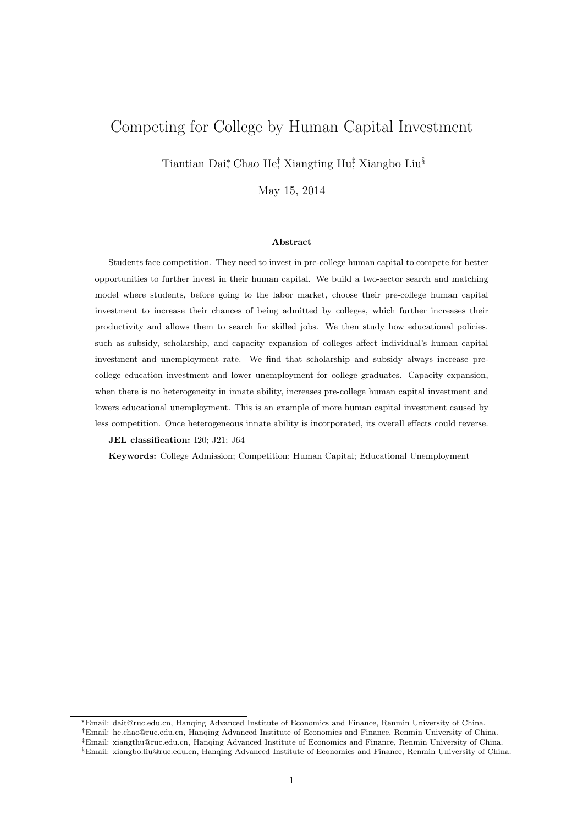# Competing for College by Human Capital Investment

Tiantian Dai‡ Chao He! Xiangting Hu‡ Xiangbo Liu<sup>§</sup>

May 15, 2014

#### **Abstract**

Students face competition. They need to invest in pre-college human capital to compete for better opportunities to further invest in their human capital. We build a two-sector search and matching model where students, before going to the labor market, choose their pre-college human capital investment to increase their chances of being admitted by colleges, which further increases their productivity and allows them to search for skilled jobs. We then study how educational policies, such as subsidy, scholarship, and capacity expansion of colleges affect individual's human capital investment and unemployment rate. We find that scholarship and subsidy always increase precollege education investment and lower unemployment for college graduates. Capacity expansion, when there is no heterogeneity in innate ability, increases pre-college human capital investment and lowers educational unemployment. This is an example of more human capital investment caused by less competition. Once heterogeneous innate ability is incorporated, its overall effects could reverse.

**JEL classification:** I20; J21; J64

**Keywords:** College Admission; Competition; Human Capital; Educational Unemployment

<sup>∗</sup>Email: dait@ruc.edu.cn, Hanqing Advanced Institute of Economics and Finance, Renmin University of China.

<sup>†</sup>Email: he.chao@ruc.edu.cn, Hanqing Advanced Institute of Economics and Finance, Renmin University of China.

<sup>‡</sup>Email: xiangthu@ruc.edu.cn, Hanqing Advanced Institute of Economics and Finance, Renmin University of China.

<sup>§</sup>Email: xiangbo.liu@ruc.edu.cn, Hanqing Advanced Institute of Economics and Finance, Renmin University of China.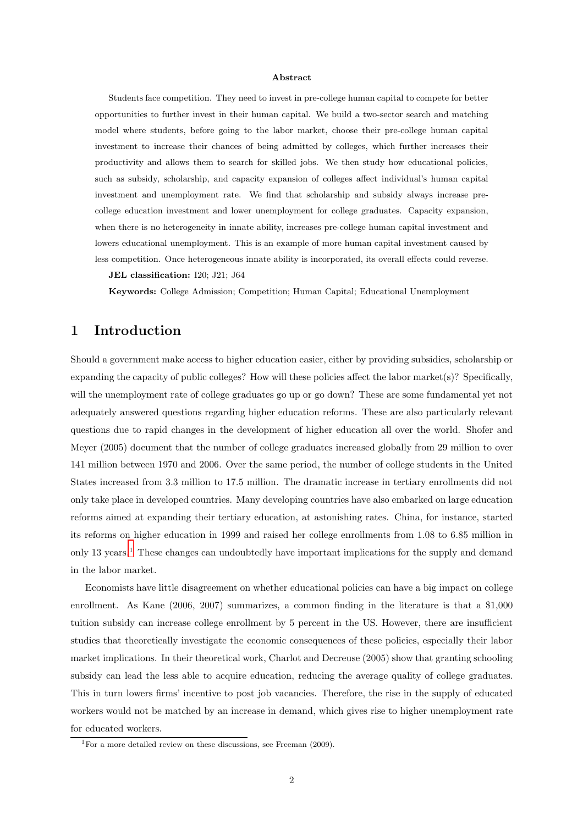#### **Abstract**

Students face competition. They need to invest in pre-college human capital to compete for better opportunities to further invest in their human capital. We build a two-sector search and matching model where students, before going to the labor market, choose their pre-college human capital investment to increase their chances of being admitted by colleges, which further increases their productivity and allows them to search for skilled jobs. We then study how educational policies, such as subsidy, scholarship, and capacity expansion of colleges affect individual's human capital investment and unemployment rate. We find that scholarship and subsidy always increase precollege education investment and lower unemployment for college graduates. Capacity expansion, when there is no heterogeneity in innate ability, increases pre-college human capital investment and lowers educational unemployment. This is an example of more human capital investment caused by less competition. Once heterogeneous innate ability is incorporated, its overall effects could reverse.

**JEL classification:** I20; J21; J64

**Keywords:** College Admission; Competition; Human Capital; Educational Unemployment

# **1 Introduction**

Should a government make access to higher education easier, either by providing subsidies, scholarship or expanding the capacity of public colleges? How will these policies affect the labor market(s)? Specifically, will the unemployment rate of college graduates go up or go down? These are some fundamental yet not adequately answered questions regarding higher education reforms. These are also particularly relevant questions due to rapid changes in the development of higher education all over the world. Shofer and Meyer (2005) document that the number of college graduates increased globally from 29 million to over 141 million between 1970 and 2006. Over the same period, the number of college students in the United States increased from 3.3 million to 17.5 million. The dramatic increase in tertiary enrollments did not only take place in developed countries. Many developing countries have also embarked on large education reforms aimed at expanding their tertiary education, at astonishing rates. China, for instance, started its reforms on higher education in 1999 and raised her college enrollments from 1.08 to 6.85 million in only [1](#page-1-0)3 years.<sup>1</sup> These changes can undoubtedly have important implications for the supply and demand in the labor market.

Economists have little disagreement on whether educational policies can have a big impact on college enrollment. As Kane (2006, 2007) summarizes, a common finding in the literature is that a \$1,000 tuition subsidy can increase college enrollment by 5 percent in the US. However, there are insufficient studies that theoretically investigate the economic consequences of these policies, especially their labor market implications. In their theoretical work, Charlot and Decreuse (2005) show that granting schooling subsidy can lead the less able to acquire education, reducing the average quality of college graduates. This in turn lowers firms' incentive to post job vacancies. Therefore, the rise in the supply of educated workers would not be matched by an increase in demand, which gives rise to higher unemployment rate for educated workers.

<span id="page-1-0"></span><sup>&</sup>lt;sup>1</sup>For a more detailed review on these discussions, see Freeman (2009).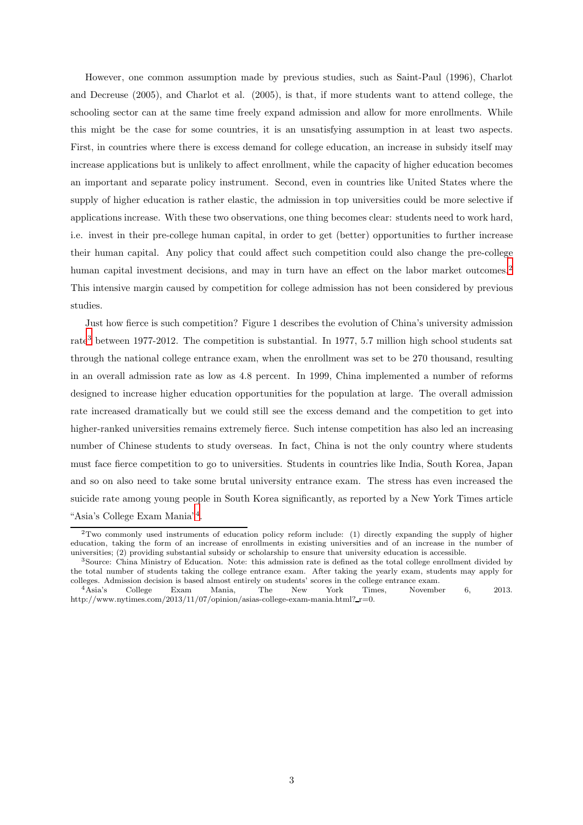However, one common assumption made by previous studies, such as Saint-Paul (1996), Charlot and Decreuse (2005), and Charlot et al. (2005), is that, if more students want to attend college, the schooling sector can at the same time freely expand admission and allow for more enrollments. While this might be the case for some countries, it is an unsatisfying assumption in at least two aspects. First, in countries where there is excess demand for college education, an increase in subsidy itself may increase applications but is unlikely to affect enrollment, while the capacity of higher education becomes an important and separate policy instrument. Second, even in countries like United States where the supply of higher education is rather elastic, the admission in top universities could be more selective if applications increase. With these two observations, one thing becomes clear: students need to work hard, i.e. invest in their pre-college human capital, in order to get (better) opportunities to further increase their human capital. Any policy that could affect such competition could also change the pre-college human capital investment decisions, and may in turn have an effect on the labor market outcomes.<sup>[2](#page-2-0)</sup> This intensive margin caused by competition for college admission has not been considered by previous studies.

Just how fierce is such competition? Figure 1 describes the evolution of China's university admission rate<sup>[3](#page-2-1)</sup> between 1977-2012. The competition is substantial. In 1977, 5.7 million high school students sat through the national college entrance exam, when the enrollment was set to be 270 thousand, resulting in an overall admission rate as low as 4.8 percent. In 1999, China implemented a number of reforms designed to increase higher education opportunities for the population at large. The overall admission rate increased dramatically but we could still see the excess demand and the competition to get into higher-ranked universities remains extremely fierce. Such intense competition has also led an increasing number of Chinese students to study overseas. In fact, China is not the only country where students must face fierce competition to go to universities. Students in countries like India, South Korea, Japan and so on also need to take some brutal university entrance exam. The stress has even increased the suicide rate among young people in South Korea significantly, as reported by a New York Times article "Asia's College Exam Mania"[4](#page-2-2).

<span id="page-2-0"></span><sup>2</sup>Two commonly used instruments of education policy reform include: (1) directly expanding the supply of higher education, taking the form of an increase of enrollments in existing universities and of an increase in the number of universities; (2) providing substantial subsidy or scholarship to ensure that university education is accessible.

<span id="page-2-1"></span><sup>3</sup>Source: China Ministry of Education. Note: this admission rate is defined as the total college enrollment divided by the total number of students taking the college entrance exam. After taking the yearly exam, students may apply for colleges. Admission decision is based almost entirely on students' scores in the college entrance exam.

<span id="page-2-2"></span><sup>4</sup>Asia's College Exam Mania, The New York Times, November 6, 2013. http://www.nytimes.com/2013/11/07/opinion/asias-college-exam-mania.html? $r=0$ .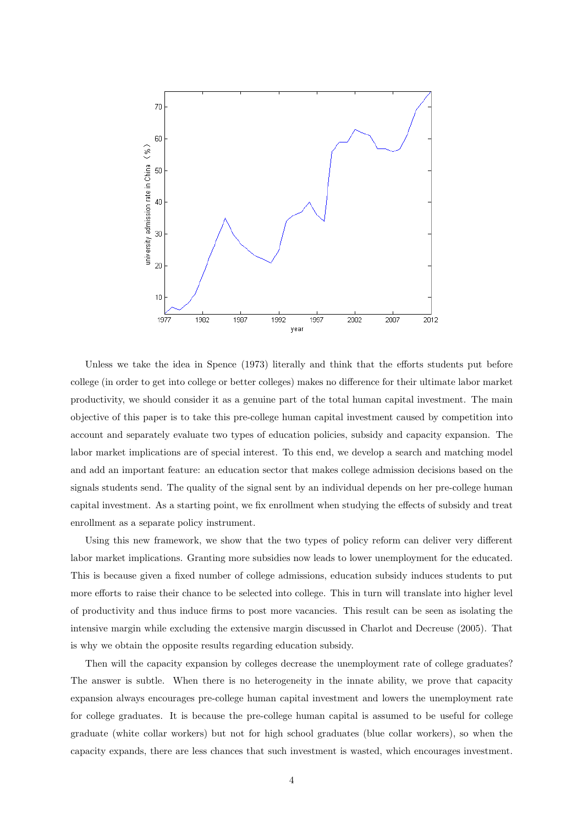

Unless we take the idea in Spence (1973) literally and think that the efforts students put before college (in order to get into college or better colleges) makes no difference for their ultimate labor market productivity, we should consider it as a genuine part of the total human capital investment. The main objective of this paper is to take this pre-college human capital investment caused by competition into account and separately evaluate two types of education policies, subsidy and capacity expansion. The labor market implications are of special interest. To this end, we develop a search and matching model and add an important feature: an education sector that makes college admission decisions based on the signals students send. The quality of the signal sent by an individual depends on her pre-college human capital investment. As a starting point, we fix enrollment when studying the effects of subsidy and treat enrollment as a separate policy instrument.

Using this new framework, we show that the two types of policy reform can deliver very different labor market implications. Granting more subsidies now leads to lower unemployment for the educated. This is because given a fixed number of college admissions, education subsidy induces students to put more efforts to raise their chance to be selected into college. This in turn will translate into higher level of productivity and thus induce firms to post more vacancies. This result can be seen as isolating the intensive margin while excluding the extensive margin discussed in Charlot and Decreuse (2005). That is why we obtain the opposite results regarding education subsidy.

Then will the capacity expansion by colleges decrease the unemployment rate of college graduates? The answer is subtle. When there is no heterogeneity in the innate ability, we prove that capacity expansion always encourages pre-college human capital investment and lowers the unemployment rate for college graduates. It is because the pre-college human capital is assumed to be useful for college graduate (white collar workers) but not for high school graduates (blue collar workers), so when the capacity expands, there are less chances that such investment is wasted, which encourages investment.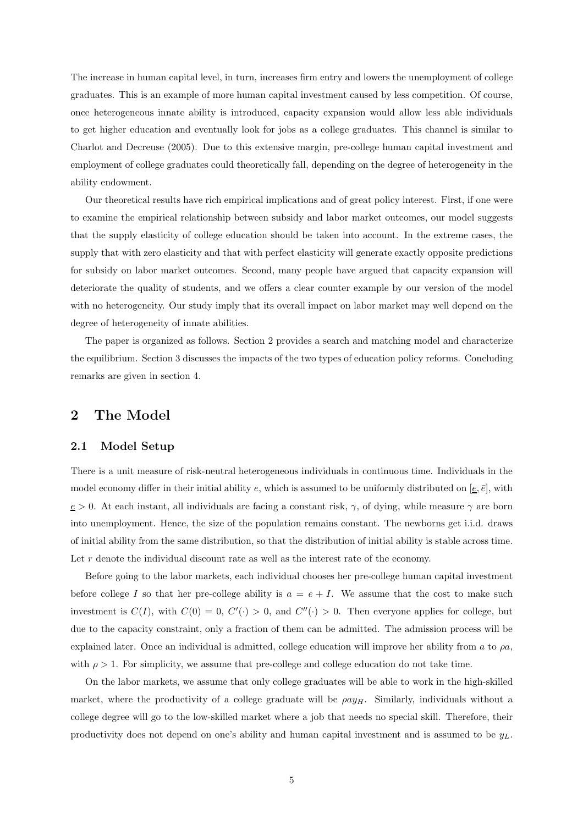The increase in human capital level, in turn, increases firm entry and lowers the unemployment of college graduates. This is an example of more human capital investment caused by less competition. Of course, once heterogeneous innate ability is introduced, capacity expansion would allow less able individuals to get higher education and eventually look for jobs as a college graduates. This channel is similar to Charlot and Decreuse (2005). Due to this extensive margin, pre-college human capital investment and employment of college graduates could theoretically fall, depending on the degree of heterogeneity in the ability endowment.

Our theoretical results have rich empirical implications and of great policy interest. First, if one were to examine the empirical relationship between subsidy and labor market outcomes, our model suggests that the supply elasticity of college education should be taken into account. In the extreme cases, the supply that with zero elasticity and that with perfect elasticity will generate exactly opposite predictions for subsidy on labor market outcomes. Second, many people have argued that capacity expansion will deteriorate the quality of students, and we offers a clear counter example by our version of the model with no heterogeneity. Our study imply that its overall impact on labor market may well depend on the degree of heterogeneity of innate abilities.

The paper is organized as follows. Section 2 provides a search and matching model and characterize the equilibrium. Section 3 discusses the impacts of the two types of education policy reforms. Concluding remarks are given in section 4.

## **2 The Model**

### **2.1 Model Setup**

There is a unit measure of risk-neutral heterogeneous individuals in continuous time. Individuals in the model economy differ in their initial ability e, which is assumed to be uniformly distributed on  $[\underline{e}, \overline{e}]$ , with  $e > 0$ . At each instant, all individuals are facing a constant risk,  $\gamma$ , of dying, while measure  $\gamma$  are born into unemployment. Hence, the size of the population remains constant. The newborns get i.i.d. draws of initial ability from the same distribution, so that the distribution of initial ability is stable across time. Let  $r$  denote the individual discount rate as well as the interest rate of the economy.

Before going to the labor markets, each individual chooses her pre-college human capital investment before college I so that her pre-college ability is  $a = e + I$ . We assume that the cost to make such investment is  $C(I)$ , with  $C(0) = 0$ ,  $C'(\cdot) > 0$ , and  $C''(\cdot) > 0$ . Then everyone applies for college, but due to the capacity constraint, only a fraction of them can be admitted. The admission process will be explained later. Once an individual is admitted, college education will improve her ability from a to  $\rho a$ , with  $\rho > 1$ . For simplicity, we assume that pre-college and college education do not take time.

On the labor markets, we assume that only college graduates will be able to work in the high-skilled market, where the productivity of a college graduate will be  $\rho a y_H$ . Similarly, individuals without a college degree will go to the low-skilled market where a job that needs no special skill. Therefore, their productivity does not depend on one's ability and human capital investment and is assumed to be  $y_L$ .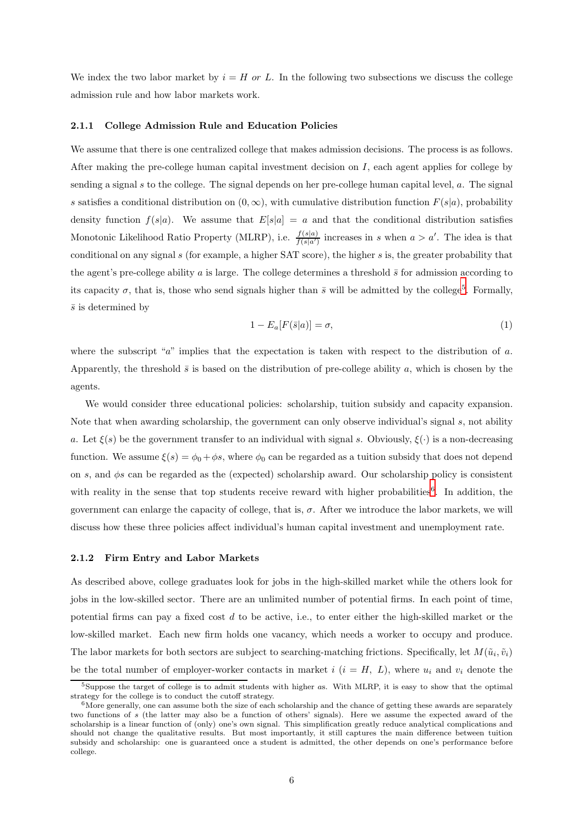We index the two labor market by  $i = H$  or L. In the following two subsections we discuss the college admission rule and how labor markets work.

#### **2.1.1 College Admission Rule and Education Policies**

We assume that there is one centralized college that makes admission decisions. The process is as follows. After making the pre-college human capital investment decision on  $I$ , each agent applies for college by sending a signal  $s$  to the college. The signal depends on her pre-college human capital level,  $a$ . The signal s satisfies a conditional distribution on  $(0, \infty)$ , with cumulative distribution function  $F(s|a)$ , probability density function  $f(s|a)$ . We assume that  $E[s|a] = a$  and that the conditional distribution satisfies Monotonic Likelihood Ratio Property (MLRP), i.e.  $\frac{f(s|a)}{f(s|a')}$  increases in s when  $a > a'$ . The idea is that conditional on any signal s (for example, a higher SAT score), the higher s is, the greater probability that the agent's pre-college ability a is large. The college determines a threshold  $\bar{s}$  for admission according to its capacity  $\sigma$ , that is, those who send signals higher than  $\bar{s}$  will be admitted by the college<sup>[5](#page-5-0)</sup>. Formally,  $\bar{s}$  is determined by

<span id="page-5-2"></span>
$$
1 - E_a[F(\bar{s}|a)] = \sigma,\tag{1}
$$

where the subscript "a" implies that the expectation is taken with respect to the distribution of a. Apparently, the threshold  $\bar{s}$  is based on the distribution of pre-college ability a, which is chosen by the agents.

We would consider three educational policies: scholarship, tuition subsidy and capacity expansion. Note that when awarding scholarship, the government can only observe individual's signal s, not ability a. Let  $\xi(s)$  be the government transfer to an individual with signal s. Obviously,  $\xi(\cdot)$  is a non-decreasing function. We assume  $\xi(s) = \phi_0 + \phi s$ , where  $\phi_0$  can be regarded as a tuition subsidy that does not depend on s, and  $\phi$ s can be regarded as the (expected) scholarship award. Our scholarship policy is consistent with reality in the sense that top students receive reward with higher probabilities<sup>[6](#page-5-1)</sup>. In addition, the government can enlarge the capacity of college, that is,  $\sigma$ . After we introduce the labor markets, we will discuss how these three policies affect individual's human capital investment and unemployment rate.

#### **2.1.2 Firm Entry and Labor Markets**

As described above, college graduates look for jobs in the high-skilled market while the others look for jobs in the low-skilled sector. There are an unlimited number of potential firms. In each point of time, potential firms can pay a fixed cost  $d$  to be active, i.e., to enter either the high-skilled market or the low-skilled market. Each new firm holds one vacancy, which needs a worker to occupy and produce. The labor markets for both sectors are subject to searching-matching frictions. Specifically, let  $M(\tilde{u}_i, \tilde{v}_i)$ be the total number of employer-worker contacts in market i  $(i = H, L)$ , where  $u_i$  and  $v_i$  denote the

 $5$ Suppose the target of college is to admit students with higher as. With MLRP, it is easy to show that the optimal strategy for the college is to conduct the cutoff strategy.

<span id="page-5-1"></span><span id="page-5-0"></span> $6$ More generally, one can assume both the size of each scholarship and the chance of getting these awards are separately two functions of s (the latter may also be a function of others' signals). Here we assume the expected award of the scholarship is a linear function of (only) one's own signal. This simplification greatly reduce analytical complications and should not change the qualitative results. But most importantly, it still captures the main difference between tuition subsidy and scholarship: one is guaranteed once a student is admitted, the other depends on one's performance before college.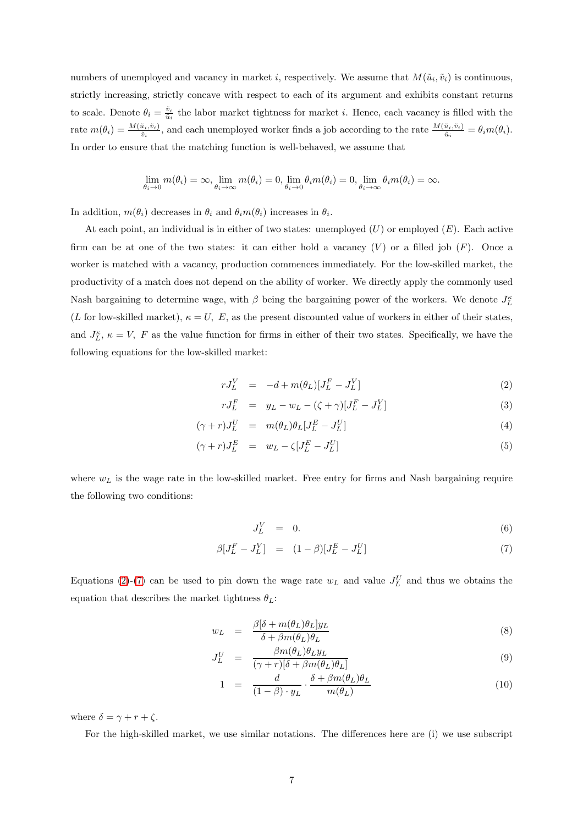numbers of unemployed and vacancy in market i, respectively. We assume that  $M(\tilde{u}_i, \tilde{v}_i)$  is continuous, strictly increasing, strictly concave with respect to each of its argument and exhibits constant returns to scale. Denote  $\theta_i = \frac{\tilde{v}_i}{\tilde{u}_i}$  the labor market tightness for market *i*. Hence, each vacancy is filled with the rate  $m(\theta_i) = \frac{M(\tilde{u}_i, \tilde{v}_i)}{\tilde{v}_i}$ , and each unemployed worker finds a job according to the rate  $\frac{M(\tilde{u}_i, \tilde{v}_i)}{\tilde{u}_i} = \theta_i m(\theta_i)$ . In order to ensure that the matching function is well-behaved, we assume that

$$
\lim_{\theta_i \to 0} m(\theta_i) = \infty, \lim_{\theta_i \to \infty} m(\theta_i) = 0, \lim_{\theta_i \to 0} \theta_i m(\theta_i) = 0, \lim_{\theta_i \to \infty} \theta_i m(\theta_i) = \infty.
$$

In addition,  $m(\theta_i)$  decreases in  $\theta_i$  and  $\theta_i m(\theta_i)$  increases in  $\theta_i$ .

At each point, an individual is in either of two states: unemployed  $(U)$  or employed  $(E)$ . Each active firm can be at one of the two states: it can either hold a vacancy  $(V)$  or a filled job  $(F)$ . Once a worker is matched with a vacancy, production commences immediately. For the low-skilled market, the productivity of a match does not depend on the ability of worker. We directly apply the commonly used Nash bargaining to determine wage, with  $\beta$  being the bargaining power of the workers. We denote  $J_L^{\kappa}$ (L for low-skilled market),  $\kappa = U, E$ , as the present discounted value of workers in either of their states, and  $J_L^{\kappa}$ ,  $\kappa = V$ , F as the value function for firms in either of their two states. Specifically, we have the following equations for the low-skilled market:

<span id="page-6-0"></span>
$$
rJ_L^V = -d + m(\theta_L)[J_L^F - J_L^V]
$$
\n<sup>(2)</sup>

$$
rJ_L^F = y_L - w_L - (\zeta + \gamma)[J_L^F - J_L^V]
$$
\n(3)

$$
(\gamma + r)J_L^U = m(\theta_L)\theta_L[J_L^E - J_L^U]
$$
\n(4)

$$
(\gamma + r)J_L^E = w_L - \zeta [J_L^E - J_L^U] \tag{5}
$$

where  $w<sub>L</sub>$  is the wage rate in the low-skilled market. Free entry for firms and Nash bargaining require the following two conditions:

<span id="page-6-1"></span>
$$
J_L^V = 0. \t\t(6)
$$

$$
\beta[J_L^F - J_L^V] = (1 - \beta)[J_L^E - J_L^U] \tag{7}
$$

Equations [\(2\)](#page-6-0)-[\(7\)](#page-6-1) can be used to pin down the wage rate  $w<sub>L</sub>$  and value  $J<sub>L</sub><sup>U</sup>$  and thus we obtains the equation that describes the market tightness  $\theta_L$ :

<span id="page-6-2"></span>
$$
w_L = \frac{\beta[\delta + m(\theta_L)\theta_L]y_L}{\delta + \beta m(\theta_L)\theta_L} \tag{8}
$$

$$
J_L^U = \frac{\beta m(\theta_L)\theta_L y_L}{(\gamma + r)[\delta + \beta m(\theta_L)\theta_L]}
$$
(9)

$$
1 = \frac{d}{(1-\beta) \cdot y_L} \cdot \frac{\delta + \beta m(\theta_L)\theta_L}{m(\theta_L)}
$$
(10)

where  $\delta = \gamma + r + \zeta$ .

For the high-skilled market, we use similar notations. The differences here are (i) we use subscript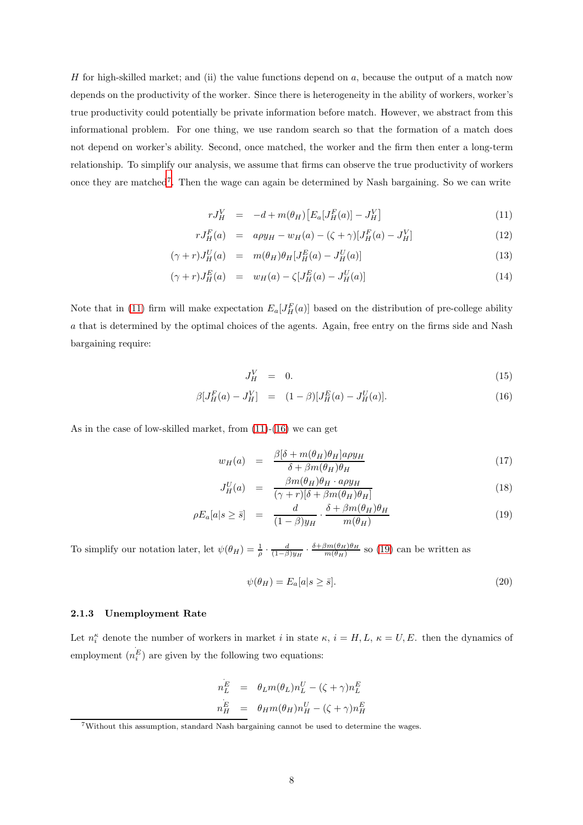H for high-skilled market; and (ii) the value functions depend on a, because the output of a match now depends on the productivity of the worker. Since there is heterogeneity in the ability of workers, worker's true productivity could potentially be private information before match. However, we abstract from this informational problem. For one thing, we use random search so that the formation of a match does not depend on worker's ability. Second, once matched, the worker and the firm then enter a long-term relationship. To simplify our analysis, we assume that firms can observe the true productivity of workers once they are matched[7](#page-7-0). Then the wage can again be determined by Nash bargaining. So we can write

<span id="page-7-1"></span>
$$
rJ_H^V = -d + m(\theta_H) [E_a[J_H^F(a)] - J_H^V]
$$
\n(11)

$$
rJ_H^F(a) = a\rho y_H - w_H(a) - (\zeta + \gamma)[J_H^F(a) - J_H^V]
$$
\n(12)

$$
(\gamma + r)J_H^U(a) = m(\theta_H)\theta_H[J_H^E(a) - J_H^U(a)] \qquad (13)
$$

$$
(\gamma + r)J_H^E(a) = w_H(a) - \zeta[J_H^E(a) - J_H^U(a)] \tag{14}
$$

Note that in [\(11\)](#page-7-1) firm will make expectation  $E_a[J_H^F(a)]$  based on the distribution of pre-college ability a that is determined by the optimal choices of the agents. Again, free entry on the firms side and Nash bargaining require:

<span id="page-7-2"></span>
$$
J_H^V = 0. \t\t(15)
$$

$$
\beta[J_H^F(a) - J_H^V] = (1 - \beta)[J_H^E(a) - J_H^U(a)]. \tag{16}
$$

As in the case of low-skilled market, from [\(11\)](#page-7-1)-[\(16\)](#page-7-2) we can get

<span id="page-7-3"></span>
$$
w_H(a) = \frac{\beta[\delta + m(\theta_H)\theta_H]a\rho y_H}{\delta + \beta m(\theta_H)\theta_H}
$$
\n(17)

$$
J_H^U(a) = \frac{\beta m(\theta_H)\theta_H \cdot a\rho y_H}{(\gamma + r)[\delta + \beta m(\theta_H)\theta_H]}
$$
(18)

$$
\rho E_a[a|s \ge \bar{s}] = \frac{d}{(1-\beta)y_H} \cdot \frac{\delta + \beta m(\theta_H)\theta_H}{m(\theta_H)}
$$
(19)

To simplify our notation later, let  $\psi(\theta_H) = \frac{1}{\rho} \cdot \frac{d}{(1-\beta)y_H} \cdot \frac{\delta + \beta m(\theta_H)\theta_H}{m(\theta_H)}$  so [\(19\)](#page-7-3) can be written as

<span id="page-7-4"></span>
$$
\psi(\theta_H) = E_a[a|s \ge \bar{s}].\tag{20}
$$

#### **2.1.3 Unemployment Rate**

Let  $n_i^{\kappa}$  denote the number of workers in market i in state  $\kappa$ ,  $i = H, L, \kappa = U, E$ . then the dynamics of employment (  $n_{i}^{E}$ ) are given by the following two equations:

$$
\begin{array}{rcl} n_L^E&=&\theta_L m(\theta_L) n_L^U -(\zeta+\gamma)n_L^E\\ \vdots&=&\theta_H m(\theta_H) n_H^U -(\zeta+\gamma)n_H^E \end{array}
$$

.

<span id="page-7-0"></span><sup>7</sup>Without this assumption, standard Nash bargaining cannot be used to determine the wages.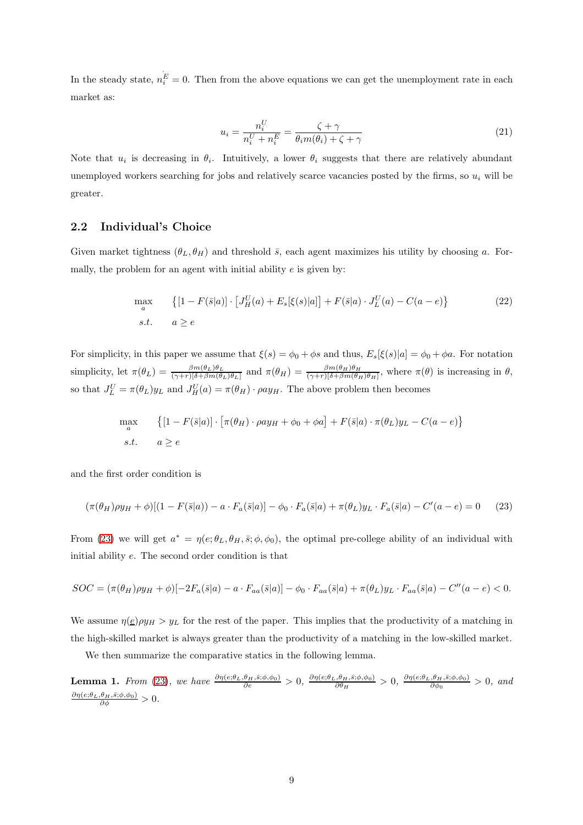In the steady state,  $n_{i}^{\text{E}} = 0$ . Then from the above equations we can get the unemployment rate in each market as:

<span id="page-8-1"></span>
$$
u_i = \frac{n_i^U}{n_i^U + n_i^E} = \frac{\zeta + \gamma}{\theta_i m(\theta_i) + \zeta + \gamma}
$$
\n(21)

Note that  $u_i$  is decreasing in  $\theta_i$ . Intuitively, a lower  $\theta_i$  suggests that there are relatively abundant unemployed workers searching for jobs and relatively scarce vacancies posted by the firms, so  $u_i$  will be greater.

### **2.2 Individual's Choice**

Given market tightness  $(\theta_L, \theta_H)$  and threshold  $\bar{s}$ , each agent maximizes his utility by choosing a. Formally, the problem for an agent with initial ability  $e$  is given by:

$$
\max_{a} \{ [1 - F(\bar{s}|a)] \cdot [J_H^U(a) + E_s[\xi(s)|a]] + F(\bar{s}|a) \cdot J_L^U(a) - C(a - e) \}
$$
\n
$$
s.t. \quad a \ge e \tag{22}
$$

For simplicity, in this paper we assume that  $\xi(s) = \phi_0 + \phi s$  and thus,  $E_s[\xi(s)|a] = \phi_0 + \phi a$ . For notation simplicity, let  $\pi(\theta_L) = \frac{\beta m(\theta_L)\theta_L}{(\gamma + r)[\delta + \beta m(\theta_L)\theta_L]}$  and  $\pi(\theta_H) = \frac{\beta m(\theta_H)\theta_H}{(\gamma + r)[\delta + \beta m(\theta_H)\theta_H]}$ , where  $\pi(\theta)$  is increasing in  $\theta$ , so that  $J_L^U = \pi(\theta_L)y_L$  and  $J_H^U(a) = \pi(\theta_H) \cdot \rho a y_H$ . The above problem then becomes

$$
\max_{a} \{ [1 - F(\bar{s}|a)] \cdot [\pi(\theta_H) \cdot \rho a y_H + \phi_0 + \phi a] + F(\bar{s}|a) \cdot \pi(\theta_L) y_L - C(a - e) \}
$$
  
s.t.  $a \ge e$ 

and the first order condition is

<span id="page-8-0"></span>
$$
(\pi(\theta_H)\rho y_H + \phi)[(1 - F(\bar{s}|a)) - a \cdot F_a(\bar{s}|a)] - \phi_0 \cdot F_a(\bar{s}|a) + \pi(\theta_L)y_L \cdot F_a(\bar{s}|a) - C'(a - e) = 0 \tag{23}
$$

From [\(23\)](#page-8-0) we will get  $a^* = \eta(e; \theta_L, \theta_H, \bar{s}; \phi, \phi_0)$ , the optimal pre-college ability of an individual with initial ability e. The second order condition is that

$$
SOC = (\pi(\theta_H)\rho y_H + \phi)[-2F_a(\bar{s}|a) - a \cdot F_{aa}(\bar{s}|a)] - \phi_0 \cdot F_{aa}(\bar{s}|a) + \pi(\theta_L)y_L \cdot F_{aa}(\bar{s}|a) - C''(a-e) < 0.
$$

We assume  $\eta(\underline{e}) \rho y_H > y_L$  for the rest of the paper. This implies that the productivity of a matching in the high-skilled market is always greater than the productivity of a matching in the low-skilled market.

We then summarize the comparative statics in the following lemma.

**Lemma 1.** *From* [\(23\)](#page-8-0), we have  $\frac{\partial \eta(e;\theta_L,\theta_H,\bar{s};\phi,\phi_0)}{\partial e} > 0$ ,  $\frac{\partial \eta(e;\theta_L,\theta_H,\bar{s};\phi,\phi_0)}{\partial \theta_H} > 0$ ,  $\frac{\partial \eta(e;\theta_L,\theta_H,\bar{s};\phi,\phi_0)}{\partial \phi_0} > 0$ , and  $\frac{\partial \eta(e;\theta_L,\theta_H,\bar{s};\phi,\phi_0)}{\partial \phi} > 0.$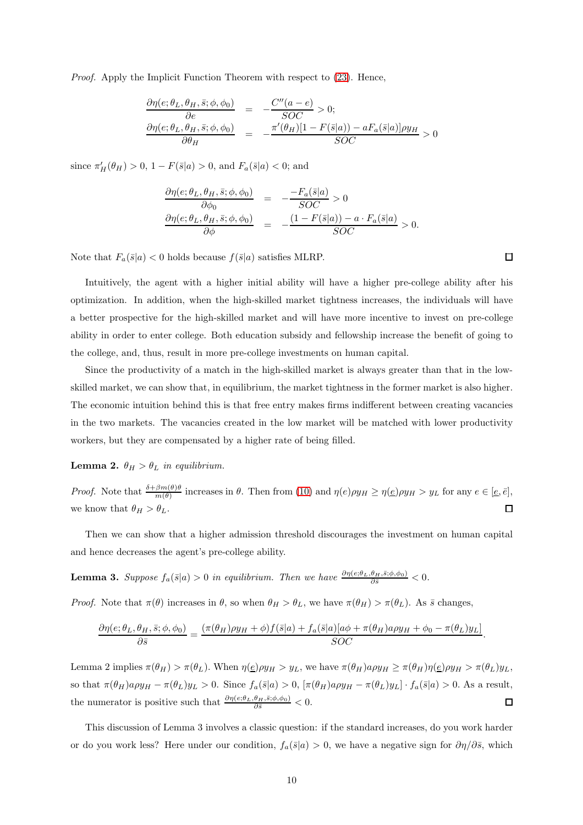*Proof.* Apply the Implicit Function Theorem with respect to  $(23)$ . Hence,

$$
\frac{\partial \eta(e; \theta_L, \theta_H, \bar{s}; \phi, \phi_0)}{\partial e} = -\frac{C''(a - e)}{SOC} > 0; \n\frac{\partial \eta(e; \theta_L, \theta_H, \bar{s}; \phi, \phi_0)}{\partial \theta_H} = -\frac{\pi'(\theta_H)[1 - F(\bar{s}|a)) - aF_a(\bar{s}|a)]\rho y_H}{SOC} > 0
$$

since  $\pi'_H(\theta_H) > 0, 1 - F(\bar{s}|a) > 0$ , and  $F_a(\bar{s}|a) < 0$ ; and

$$
\frac{\partial \eta(e; \theta_L, \theta_H, \bar{s}; \phi, \phi_0)}{\partial \phi_0} = -\frac{-F_a(\bar{s}|a)}{SOC} > 0
$$
  

$$
\frac{\partial \eta(e; \theta_L, \theta_H, \bar{s}; \phi, \phi_0)}{\partial \phi} = -\frac{(1 - F(\bar{s}|a)) - a \cdot F_a(\bar{s}|a)}{SOC} > 0.
$$

Note that  $F_a(\bar{s}|a) < 0$  holds because  $f(\bar{s}|a)$  satisfies MLRP.

Intuitively, the agent with a higher initial ability will have a higher pre-college ability after his optimization. In addition, when the high-skilled market tightness increases, the individuals will have a better prospective for the high-skilled market and will have more incentive to invest on pre-college ability in order to enter college. Both education subsidy and fellowship increase the benefit of going to the college, and, thus, result in more pre-college investments on human capital.

Since the productivity of a match in the high-skilled market is always greater than that in the lowskilled market, we can show that, in equilibrium, the market tightness in the former market is also higher. The economic intuition behind this is that free entry makes firms indifferent between creating vacancies in the two markets. The vacancies created in the low market will be matched with lower productivity workers, but they are compensated by a higher rate of being filled.

**Lemma 2.**  $\theta_H > \theta_L$  *in equilibrium.* 

*Proof.* Note that  $\frac{\delta + \beta m(\theta)\theta}{m(\theta)}$  increases in  $\theta$ . Then from [\(10\)](#page-6-2) and  $\eta(e)\rho y_H \ge \eta(e)\rho y_H > y_L$  for any  $e \in [\underline{e}, \overline{e}],$ we know that  $\theta_H > \theta_L$ .  $\Box$ 

Then we can show that a higher admission threshold discourages the investment on human capital and hence decreases the agent's pre-college ability.

**Lemma 3.** *Suppose*  $f_a(\bar{s}|a) > 0$  *in equilibrium. Then we have*  $\frac{\partial \eta(e;\theta_L,\theta_H,\bar{s};\phi,\phi_0)}{\partial \bar{s}} < 0$ .

*Proof.* Note that  $\pi(\theta)$  increases in  $\theta$ , so when  $\theta_H > \theta_L$ , we have  $\pi(\theta_H) > \pi(\theta_L)$ . As  $\bar{s}$  changes,

$$
\frac{\partial \eta(e; \theta_L, \theta_H, \bar{s}; \phi, \phi_0)}{\partial \bar{s}} = \frac{(\pi(\theta_H)\rho y_H + \phi)f(\bar{s}|a) + f_a(\bar{s}|a)[a\phi + \pi(\theta_H)a\rho y_H + \phi_0 - \pi(\theta_L)y_L]}{SOC}.
$$

Lemma 2 implies  $\pi(\theta_H) > \pi(\theta_L)$ . When  $\eta(\underline{e}) \rho y_H > y_L$ , we have  $\pi(\theta_H) a \rho y_H \geq \pi(\theta_H) \eta(\underline{e}) \rho y_H > \pi(\theta_L) y_L$ , so that  $\pi(\theta_H)a\rho y_H - \pi(\theta_L)y_L > 0$ . Since  $f_a(\bar{s}|a) > 0$ ,  $[\pi(\theta_H)a\rho y_H - \pi(\theta_L)y_L] \cdot f_a(\bar{s}|a) > 0$ . As a result, the numerator is positive such that  $\frac{\partial \eta(e;\theta_L,\theta_H,\bar{s};\phi,\phi_0)}{\partial \bar{s}} < 0$ .  $\Box$ 

This discussion of Lemma 3 involves a classic question: if the standard increases, do you work harder or do you work less? Here under our condition,  $f_a(\bar{s}|a) > 0$ , we have a negative sign for  $\partial \eta/\partial \bar{s}$ , which

 $\Box$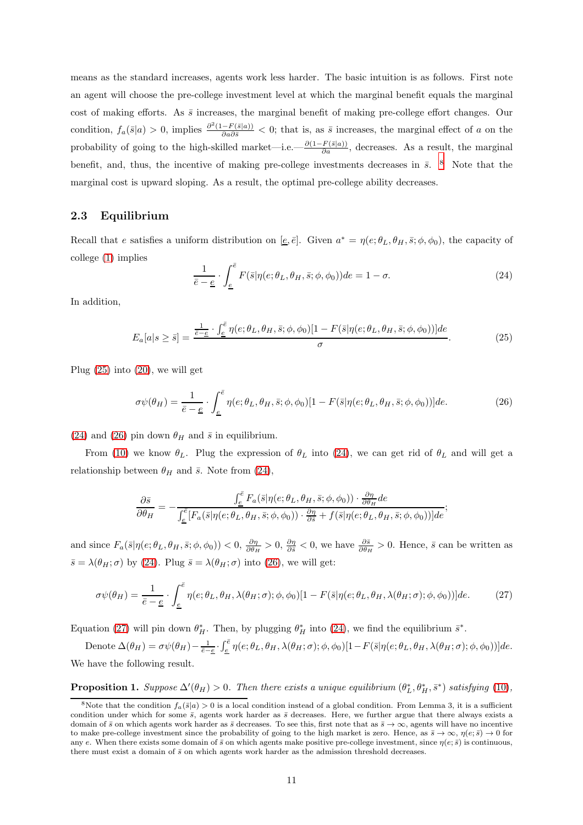means as the standard increases, agents work less harder. The basic intuition is as follows. First note an agent will choose the pre-college investment level at which the marginal benefit equals the marginal cost of making efforts. As  $\bar{s}$  increases, the marginal benefit of making pre-college effort changes. Our condition,  $f_a(\bar{s}|a) > 0$ , implies  $\frac{\partial^2 (1 - F(\bar{s}|a))}{\partial a \partial \bar{s}} < 0$ ; that is, as  $\bar{s}$  increases, the marginal effect of a on the probability of going to the high-skilled market—i.e.— $\frac{\partial(1-F(\bar{s}|a))}{\partial a}$ , decreases. As a result, the marginal benefit, and, thus, the incentive of making pre-college investments decreases in  $\bar{s}$ . <sup>[8](#page-10-0)</sup> Note that the marginal cost is upward sloping. As a result, the optimal pre-college ability decreases.

### **2.3 Equilibrium**

Recall that e satisfies a uniform distribution on  $[\underline{e}, \overline{e}]$ . Given  $a^* = \eta(e; \theta_L, \theta_H, \overline{s}; \phi, \phi_0)$ , the capacity of college [\(1\)](#page-5-2) implies

<span id="page-10-2"></span>
$$
\frac{1}{\bar{e} - \underline{e}} \cdot \int_{\underline{e}}^{\bar{e}} F(\bar{s} | \eta(e; \theta_L, \theta_H, \bar{s}; \phi, \phi_0)) de = 1 - \sigma.
$$
 (24)

In addition,

<span id="page-10-1"></span>
$$
E_a[a|s \ge \bar{s}] = \frac{\frac{1}{\bar{e}-\underline{e}} \cdot \int_{\underline{e}}^{\bar{e}} \eta(e;\theta_L,\theta_H,\bar{s};\phi,\phi_0)[1 - F(\bar{s}|\eta(e;\theta_L,\theta_H,\bar{s};\phi,\phi_0))]de}{\sigma}.
$$
\n(25)

Plug [\(25\)](#page-10-1) into [\(20\)](#page-7-4), we will get

<span id="page-10-3"></span>
$$
\sigma\psi(\theta_H) = \frac{1}{\bar{e} - \underline{e}} \cdot \int_{\underline{e}}^{\bar{e}} \eta(e; \theta_L, \theta_H, \bar{s}; \phi, \phi_0) [1 - F(\bar{s} | \eta(e; \theta_L, \theta_H, \bar{s}; \phi, \phi_0))] de.
$$
 (26)

[\(24\)](#page-10-2) and [\(26\)](#page-10-3) pin down  $\theta_H$  and  $\bar{s}$  in equilibrium.

From [\(10\)](#page-6-2) we know  $\theta_L$ . Plug the expression of  $\theta_L$  into [\(24\)](#page-10-2), we can get rid of  $\theta_L$  and will get a relationship between  $\theta_H$  and  $\bar{s}$ . Note from [\(24\)](#page-10-2),

$$
\frac{\partial \bar{s}}{\partial \theta_H} = -\frac{\int_{\underline{e}}^{\overline{e}} F_a(\bar{s}|\eta(e;\theta_L,\theta_H,\bar{s};\phi,\phi_0)) \cdot \frac{\partial \eta}{\partial \theta_H} de}{\int_{\underline{e}}^{\overline{e}} [F_a(\bar{s}|\eta(e;\theta_L,\theta_H,\bar{s};\phi,\phi_0)) \cdot \frac{\partial \eta}{\partial \bar{s}} + f(\bar{s}|\eta(e;\theta_L,\theta_H,\bar{s};\phi,\phi_0))] de};
$$

and since  $F_a(\bar{s}|\eta(e;\theta_L,\theta_H,\bar{s};\phi,\phi_0)) < 0, \frac{\partial \eta}{\partial \theta_H} > 0, \frac{\partial \eta}{\partial \bar{s}} < 0$ , we have  $\frac{\partial \bar{s}}{\partial \theta_H} > 0$ . Hence,  $\bar{s}$  can be written as  $\bar{s} = \lambda(\theta_H; \sigma)$  by [\(24\)](#page-10-2). Plug  $\bar{s} = \lambda(\theta_H; \sigma)$  into [\(26\)](#page-10-3), we will get:

<span id="page-10-4"></span>
$$
\sigma\psi(\theta_H) = \frac{1}{\bar{e} - \underline{e}} \cdot \int_{\underline{e}}^{\bar{e}} \eta(e; \theta_L, \theta_H, \lambda(\theta_H; \sigma); \phi, \phi_0)[1 - F(\bar{s}|\eta(e; \theta_L, \theta_H, \lambda(\theta_H; \sigma); \phi, \phi_0))]de. \tag{27}
$$

Equation [\(27\)](#page-10-4) will pin down  $\theta_H^*$ . Then, by plugging  $\theta_H^*$  into [\(24\)](#page-10-2), we find the equilibrium  $\bar{s}^*$ .

Denote  $\Delta(\theta_H) = \sigma \psi(\theta_H) - \frac{1}{\overline{e}-\underline{e}} \cdot \int_{\underline{e}}^{\overline{e}} \eta(e; \theta_L, \theta_H, \lambda(\theta_H; \sigma); \phi, \phi_0) [1 - F(\overline{s} | \eta(e; \theta_L, \theta_H, \lambda(\theta_H; \sigma); \phi, \phi_0))] de.$ We have the following result.

**Proposition 1.** Suppose  $\Delta'(\theta_H) > 0$ . Then there exists a unique equilibrium  $(\theta_L^*, \theta_H^*, \bar{s}^*)$  satisfying [\(10\)](#page-6-2),

<span id="page-10-0"></span><sup>&</sup>lt;sup>8</sup>Note that the condition  $f_a(\bar{s}|a) > 0$  is a local condition instead of a global condition. From Lemma 3, it is a sufficient condition under which for some  $\overline{s}$ , agents work harder as  $\overline{s}$  decreases. Here, we further argue that there always exists a domain of  $\bar{s}$  on which agents work harder as  $\bar{s}$  decreases. To see this, first note that as  $\bar{s} \to \infty$ , agents will have no incentive to make pre-college investment since the probability of going to the high market is zero. Hence, as  $\bar{s} \to \infty$ ,  $\eta(e; \bar{s}) \to 0$  for any e. When there exists some domain of  $\bar{s}$  on which agents make positive pre-college investment, since  $\eta(e;\bar{s})$  is continuous, there must exist a domain of  $\bar{s}$  on which agents work harder as the admission threshold decreases.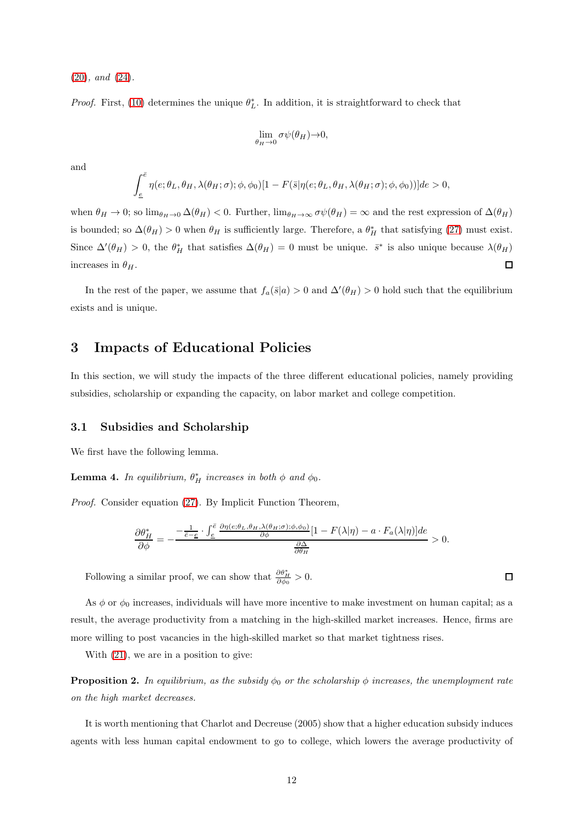[\(20\)](#page-7-4)*, and* [\(24\)](#page-10-2)*.*

*Proof.* First, [\(10\)](#page-6-2) determines the unique  $\theta_L^*$ . In addition, it is straightforward to check that

$$
\lim_{\theta_H \to 0} \sigma \psi(\theta_H) \to 0,
$$

and

$$
\int_{\underline{e}}^{\overline{e}}\eta(e;\theta_L,\theta_H,\lambda(\theta_H;\sigma);\phi,\phi_0)[1-F(\bar{s}|\eta(e;\theta_L,\theta_H,\lambda(\theta_H;\sigma);\phi,\phi_0))]de>0,
$$

when  $\theta_H \to 0$ ; so  $\lim_{\theta_H \to 0} \Delta(\theta_H) < 0$ . Further,  $\lim_{\theta_H \to \infty} \sigma \psi(\theta_H) = \infty$  and the rest expression of  $\Delta(\theta_H)$ is bounded; so  $\Delta(\theta_H) > 0$  when  $\theta_H$  is sufficiently large. Therefore, a  $\theta_H^*$  that satisfying [\(27\)](#page-10-4) must exist. Since  $\Delta'(\theta_H) > 0$ , the  $\theta_H^*$  that satisfies  $\Delta(\theta_H) = 0$  must be unique.  $\bar{s}^*$  is also unique because  $\lambda(\theta_H)$ increases in  $\theta_H$ .  $\Box$ 

In the rest of the paper, we assume that  $f_a(\bar{s}|a) > 0$  and  $\Delta'(\theta_H) > 0$  hold such that the equilibrium exists and is unique.

## **3 Impacts of Educational Policies**

In this section, we will study the impacts of the three different educational policies, namely providing subsidies, scholarship or expanding the capacity, on labor market and college competition.

### **3.1 Subsidies and Scholarship**

We first have the following lemma.

**Lemma 4.** In equilibrium,  $\theta_H^*$  increases in both  $\phi$  and  $\phi_0$ .

*Proof.* Consider equation [\(27\)](#page-10-4). By Implicit Function Theorem,

$$
\frac{\partial \theta_H^*}{\partial \phi} = -\frac{-\frac{1}{\bar{e}-\underline{e}} \cdot \int_{\underline{e}}^{\bar{e}} \frac{\partial \eta(e;\theta_L,\theta_H,\lambda(\theta_H;\sigma);\phi,\phi_0)}{\partial \phi} [1 - F(\lambda|\eta) - a \cdot F_a(\lambda|\eta)]de}{\frac{\partial \Delta}{\partial \theta_H}} > 0.
$$

Following a similar proof, we can show that  $\frac{\partial \theta^*_{H}}{\partial \phi_0} > 0$ .

As  $\phi$  or  $\phi_0$  increases, individuals will have more incentive to make investment on human capital; as a result, the average productivity from a matching in the high-skilled market increases. Hence, firms are more willing to post vacancies in the high-skilled market so that market tightness rises.

With [\(21\)](#page-8-1), we are in a position to give:

**Proposition 2.** *In equilibrium, as the subsidy*  $\phi_0$  *or the scholarship*  $\phi$  *increases, the unemployment rate on the high market decreases.*

It is worth mentioning that Charlot and Decreuse (2005) show that a higher education subsidy induces agents with less human capital endowment to go to college, which lowers the average productivity of

 $\Box$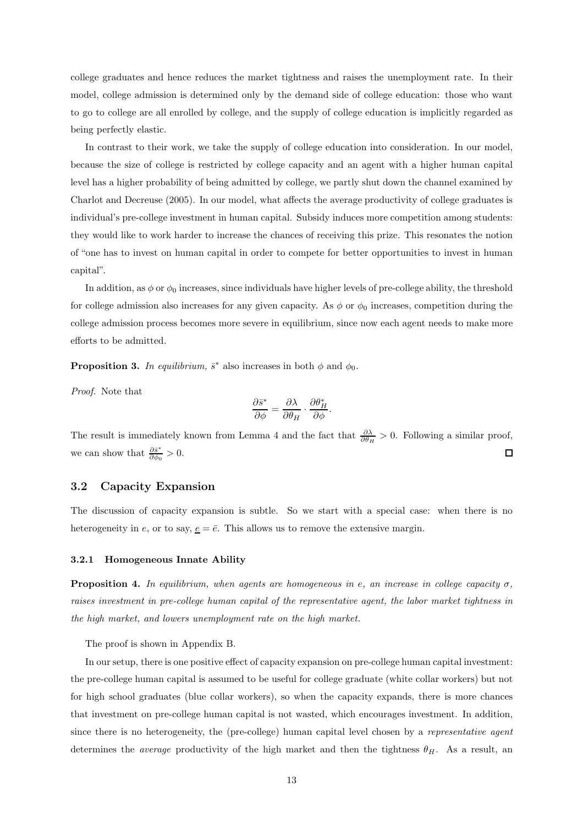college graduates and hence reduces the market tightness and raises the unemployment rate. In their model, college admission is determined only by the demand side of college education: those who want to go to college are all enrolled by college, and the supply of college education is implicitly regarded as being perfectly elastic.

In contrast to their work, we take the supply of college education into consideration. In our model, because the size of college is restricted by college capacity and an agent with a higher human capital level has a higher probability of being admitted by college, we partly shut down the channel examined by Charlot and Decreuse (2005). In our model, what affects the average productivity of college graduates is individual's pre-college investment in human capital. Subsidy induces more competition among students: they would like to work harder to increase the chances of receiving this prize. This resonates the notion of "one has to invest on human capital in order to compete for better opportunities to invest in human capital".

In addition, as  $\phi$  or  $\phi_0$  increases, since individuals have higher levels of pre-college ability, the threshold for college admission also increases for any given capacity. As  $\phi$  or  $\phi_0$  increases, competition during the college admission process becomes more severe in equilibrium, since now each agent needs to make more efforts to be admitted.

**Proposition 3.** *In equilibrium,*  $\bar{s}^*$  also increases in both  $\phi$  and  $\phi_0$ .

*Proof.* Note that

$$
\frac{\partial \bar{s}^*}{\partial \phi} = \frac{\partial \lambda}{\partial \theta_H} \cdot \frac{\partial \theta_H^*}{\partial \phi}.
$$

The result is immediately known from Lemma 4 and the fact that  $\frac{\partial \lambda}{\partial \theta_H} > 0$ . Following a similar proof, we can show that  $\frac{\partial \bar{s}^*}{\partial \phi_0} > 0$ .  $\Box$ 

### **3.2 Capacity Expansion**

The discussion of capacity expansion is subtle. So we start with a special case: when there is no heterogeneity in e, or to say,  $\underline{e} = \overline{e}$ . This allows us to remove the extensive margin.

#### **3.2.1 Homogeneous Innate Ability**

**Proposition 4.** *In equilibrium, when agents are homogeneous in e, an increase in college capacity*  $\sigma$ *, raises investment in pre-college human capital of the representative agent, the labor market tightness in the high market, and lowers unemployment rate on the high market.*

The proof is shown in Appendix B.

In our setup, there is one positive effect of capacity expansion on pre-college human capital investment: the pre-college human capital is assumed to be useful for college graduate (white collar workers) but not for high school graduates (blue collar workers), so when the capacity expands, there is more chances that investment on pre-college human capital is not wasted, which encourages investment. In addition, since there is no heterogeneity, the (pre-college) human capital level chosen by a *representative agent* determines the *average* productivity of the high market and then the tightness  $\theta_H$ . As a result, an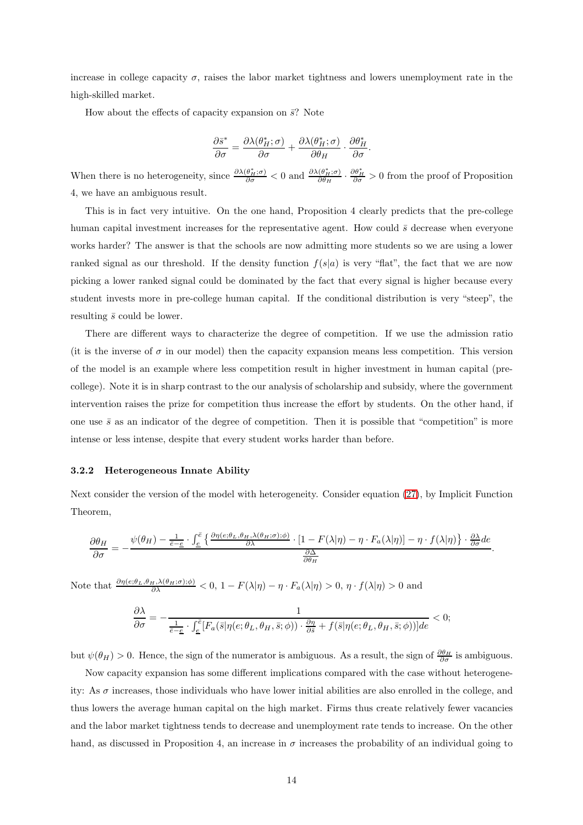increase in college capacity  $\sigma$ , raises the labor market tightness and lowers unemployment rate in the high-skilled market.

How about the effects of capacity expansion on  $\bar{s}$ ? Note

$$
\frac{\partial \bar{s}^*}{\partial \sigma} = \frac{\partial \lambda(\theta_H^*;\sigma)}{\partial \sigma} + \frac{\partial \lambda(\theta_H^*;\sigma)}{\partial \theta_H} \cdot \frac{\partial \theta_H^*}{\partial \sigma}.
$$

When there is no heterogeneity, since  $\frac{\partial \lambda(\theta_H^*, \sigma)}{\partial \sigma} < 0$  and  $\frac{\partial \lambda(\theta_H^*, \sigma)}{\partial \theta_H} \cdot \frac{\partial \theta_H^*}{\partial \sigma} > 0$  from the proof of Proposition 4, we have an ambiguous result.

This is in fact very intuitive. On the one hand, Proposition 4 clearly predicts that the pre-college human capital investment increases for the representative agent. How could  $\bar{s}$  decrease when everyone works harder? The answer is that the schools are now admitting more students so we are using a lower ranked signal as our threshold. If the density function  $f(s|a)$  is very "flat", the fact that we are now picking a lower ranked signal could be dominated by the fact that every signal is higher because every student invests more in pre-college human capital. If the conditional distribution is very "steep", the resulting  $\bar{s}$  could be lower.

There are different ways to characterize the degree of competition. If we use the admission ratio (it is the inverse of  $\sigma$  in our model) then the capacity expansion means less competition. This version of the model is an example where less competition result in higher investment in human capital (precollege). Note it is in sharp contrast to the our analysis of scholarship and subsidy, where the government intervention raises the prize for competition thus increase the effort by students. On the other hand, if one use  $\bar{s}$  as an indicator of the degree of competition. Then it is possible that "competition" is more intense or less intense, despite that every student works harder than before.

#### **3.2.2 Heterogeneous Innate Ability**

Next consider the version of the model with heterogeneity. Consider equation [\(27\)](#page-10-4), by Implicit Function Theorem,

$$
\frac{\partial \theta_H}{\partial \sigma} = -\frac{\psi(\theta_H) - \frac{1}{\bar{e}-\underline{e}} \cdot \int_{\underline{e}}^{\bar{e}} \left\{ \frac{\partial \eta(e;\theta_L,\theta_H,\lambda(\theta_H;\sigma);\phi)}{\partial \lambda} \cdot [1 - F(\lambda|\eta) - \eta \cdot F_a(\lambda|\eta)] - \eta \cdot f(\lambda|\eta) \right\} \cdot \frac{\partial \lambda}{\partial \sigma} d e}{\frac{\partial \Delta}{\partial \theta_H}}.
$$

Note that  $\frac{\partial \eta(e;\theta_L,\theta_H,\lambda(\theta_H;\sigma);\phi)}{\partial \lambda} < 0$ ,  $1 - F(\lambda|\eta) - \eta \cdot F_a(\lambda|\eta) > 0$ ,  $\eta \cdot f(\lambda|\eta) > 0$  and

$$
\frac{\partial \lambda}{\partial \sigma} = -\frac{1}{\frac{1}{\overline{e}-\underline{e}} \cdot \int_{\underline{e}}^{\overline{e}} [F_a(\overline{s}|\eta(e;\theta_L,\theta_H,\overline{s};\phi)) \cdot \frac{\partial \eta}{\partial \overline{s}} + f(\overline{s}|\eta(e;\theta_L,\theta_H,\overline{s};\phi))]de} < 0;
$$

but  $\psi(\theta_H) > 0$ . Hence, the sign of the numerator is ambiguous. As a result, the sign of  $\frac{\partial \theta_H}{\partial \sigma}$  is ambiguous.

Now capacity expansion has some different implications compared with the case without heterogeneity: As  $\sigma$  increases, those individuals who have lower initial abilities are also enrolled in the college, and thus lowers the average human capital on the high market. Firms thus create relatively fewer vacancies and the labor market tightness tends to decrease and unemployment rate tends to increase. On the other hand, as discussed in Proposition 4, an increase in  $\sigma$  increases the probability of an individual going to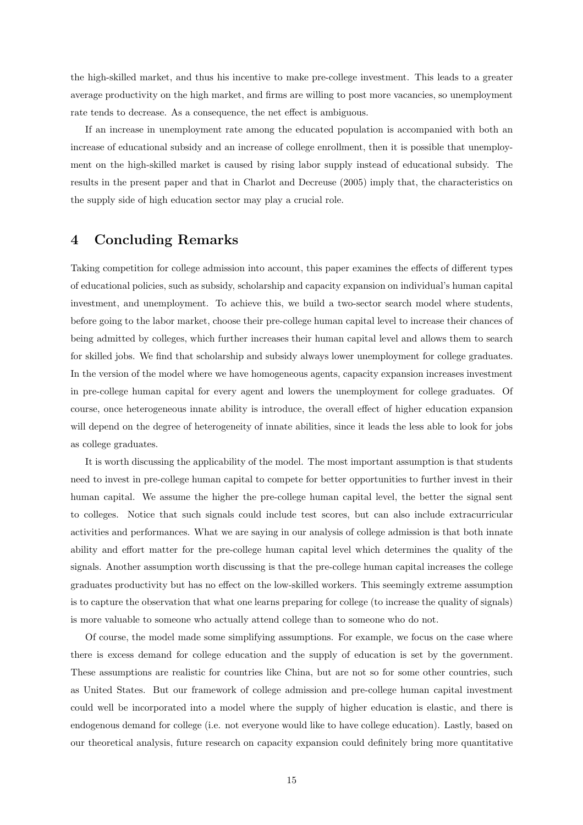the high-skilled market, and thus his incentive to make pre-college investment. This leads to a greater average productivity on the high market, and firms are willing to post more vacancies, so unemployment rate tends to decrease. As a consequence, the net effect is ambiguous.

If an increase in unemployment rate among the educated population is accompanied with both an increase of educational subsidy and an increase of college enrollment, then it is possible that unemployment on the high-skilled market is caused by rising labor supply instead of educational subsidy. The results in the present paper and that in Charlot and Decreuse (2005) imply that, the characteristics on the supply side of high education sector may play a crucial role.

# **4 Concluding Remarks**

Taking competition for college admission into account, this paper examines the effects of different types of educational policies, such as subsidy, scholarship and capacity expansion on individual's human capital investment, and unemployment. To achieve this, we build a two-sector search model where students, before going to the labor market, choose their pre-college human capital level to increase their chances of being admitted by colleges, which further increases their human capital level and allows them to search for skilled jobs. We find that scholarship and subsidy always lower unemployment for college graduates. In the version of the model where we have homogeneous agents, capacity expansion increases investment in pre-college human capital for every agent and lowers the unemployment for college graduates. Of course, once heterogeneous innate ability is introduce, the overall effect of higher education expansion will depend on the degree of heterogeneity of innate abilities, since it leads the less able to look for jobs as college graduates.

It is worth discussing the applicability of the model. The most important assumption is that students need to invest in pre-college human capital to compete for better opportunities to further invest in their human capital. We assume the higher the pre-college human capital level, the better the signal sent to colleges. Notice that such signals could include test scores, but can also include extracurricular activities and performances. What we are saying in our analysis of college admission is that both innate ability and effort matter for the pre-college human capital level which determines the quality of the signals. Another assumption worth discussing is that the pre-college human capital increases the college graduates productivity but has no effect on the low-skilled workers. This seemingly extreme assumption is to capture the observation that what one learns preparing for college (to increase the quality of signals) is more valuable to someone who actually attend college than to someone who do not.

Of course, the model made some simplifying assumptions. For example, we focus on the case where there is excess demand for college education and the supply of education is set by the government. These assumptions are realistic for countries like China, but are not so for some other countries, such as United States. But our framework of college admission and pre-college human capital investment could well be incorporated into a model where the supply of higher education is elastic, and there is endogenous demand for college (i.e. not everyone would like to have college education). Lastly, based on our theoretical analysis, future research on capacity expansion could definitely bring more quantitative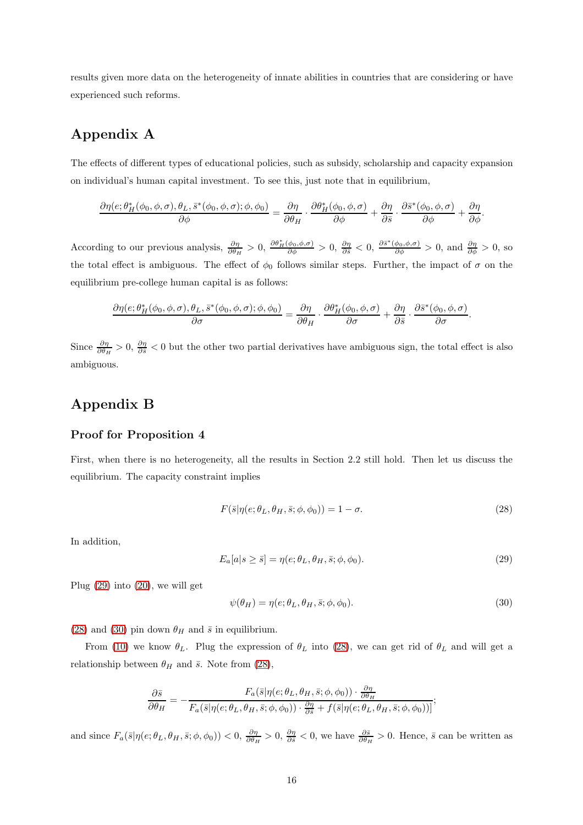results given more data on the heterogeneity of innate abilities in countries that are considering or have experienced such reforms.

# **Appendix A**

The effects of different types of educational policies, such as subsidy, scholarship and capacity expansion on individual's human capital investment. To see this, just note that in equilibrium,

$$
\frac{\partial \eta(e; \theta_H^*(\phi_0, \phi, \sigma), \theta_L, \bar{s}^*(\phi_0, \phi, \sigma); \phi, \phi_0)}{\partial \phi} = \frac{\partial \eta}{\partial \theta_H} \cdot \frac{\partial \theta_H^*(\phi_0, \phi, \sigma)}{\partial \phi} + \frac{\partial \eta}{\partial \bar{s}} \cdot \frac{\partial \bar{s}^*(\phi_0, \phi, \sigma)}{\partial \phi} + \frac{\partial \eta}{\partial \phi}.
$$

According to our previous analysis,  $\frac{\partial \eta}{\partial \theta_H} > 0$ ,  $\frac{\partial \theta_H^*(\phi_0, \phi, \sigma)}{\partial \phi} > 0$ ,  $\frac{\partial \eta}{\partial s} < 0$ ,  $\frac{\partial \overline{s}^*(\phi_0, \phi, \sigma)}{\partial \phi} > 0$ , and  $\frac{\partial \eta}{\partial \phi} > 0$ , so the total effect is ambiguous. The effect of  $\phi_0$  follows similar steps. Further, the impact of  $\sigma$  on the equilibrium pre-college human capital is as follows:

$$
\frac{\partial \eta(e;\theta_H^*(\phi_0,\phi,\sigma),\theta_L,\bar{s}^*(\phi_0,\phi,\sigma);\phi,\phi_0)}{\partial \sigma} = \frac{\partial \eta}{\partial \theta_H} \cdot \frac{\partial \theta_H^*(\phi_0,\phi,\sigma)}{\partial \sigma} + \frac{\partial \eta}{\partial \bar{s}} \cdot \frac{\partial \bar{s}^*(\phi_0,\phi,\sigma)}{\partial \sigma}.
$$

Since  $\frac{\partial \eta}{\partial \theta_H} > 0$ ,  $\frac{\partial \eta}{\partial s} < 0$  but the other two partial derivatives have ambiguous sign, the total effect is also ambiguous.

# **Appendix B**

### **Proof for Proposition 4**

First, when there is no heterogeneity, all the results in Section 2.2 still hold. Then let us discuss the equilibrium. The capacity constraint implies

<span id="page-15-1"></span>
$$
F(\bar{s}|\eta(e;\theta_L,\theta_H,\bar{s};\phi,\phi_0)) = 1 - \sigma.
$$
\n(28)

In addition,

<span id="page-15-0"></span>
$$
E_a[a|s \ge \bar{s}] = \eta(e; \theta_L, \theta_H, \bar{s}; \phi, \phi_0). \tag{29}
$$

Plug  $(29)$  into  $(20)$ , we will get

<span id="page-15-2"></span>
$$
\psi(\theta_H) = \eta(e; \theta_L, \theta_H, \bar{s}; \phi, \phi_0). \tag{30}
$$

[\(28\)](#page-15-1) and [\(30\)](#page-15-2) pin down  $\theta_H$  and  $\bar{s}$  in equilibrium.

From [\(10\)](#page-6-2) we know  $\theta_L$ . Plug the expression of  $\theta_L$  into [\(28\)](#page-15-1), we can get rid of  $\theta_L$  and will get a relationship between  $\theta_H$  and  $\bar{s}$ . Note from [\(28\)](#page-15-1),

$$
\frac{\partial \bar{s}}{\partial \theta_H} = -\frac{F_a(\bar{s}|\eta(e;\theta_L,\theta_H,\bar{s};\phi,\phi_0)) \cdot \frac{\partial \eta}{\partial \theta_H}}{F_a(\bar{s}|\eta(e;\theta_L,\theta_H,\bar{s};\phi,\phi_0)) \cdot \frac{\partial \eta}{\partial \bar{s}} + f(\bar{s}|\eta(e;\theta_L,\theta_H,\bar{s};\phi,\phi_0))]};
$$

and since  $F_a(\bar{s}|\eta(e;\theta_L,\theta_H,\bar{s};\phi,\phi_0)) < 0, \frac{\partial \eta}{\partial \theta_H} > 0, \frac{\partial \eta}{\partial \bar{s}} < 0$ , we have  $\frac{\partial \bar{s}}{\partial \theta_H} > 0$ . Hence,  $\bar{s}$  can be written as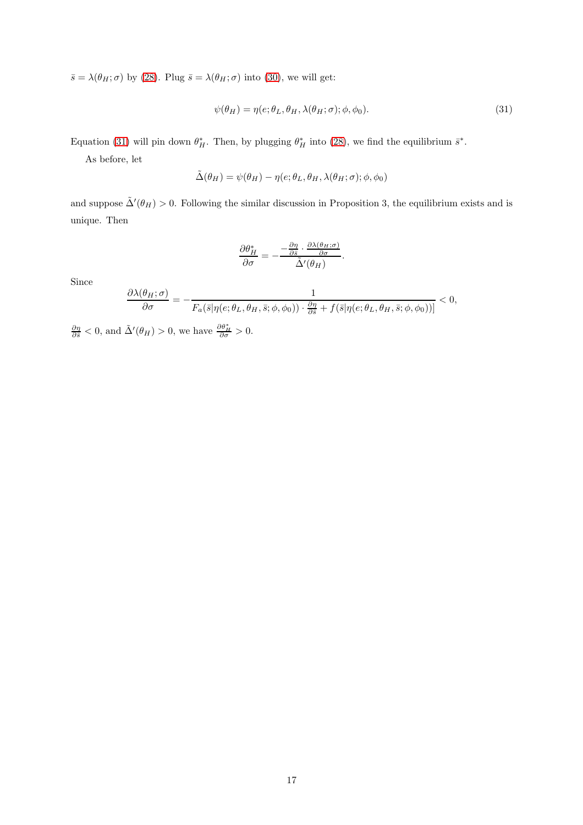$\bar{s} = \lambda(\theta_H; \sigma)$  by [\(28\)](#page-15-1). Plug  $\bar{s} = \lambda(\theta_H; \sigma)$  into [\(30\)](#page-15-2), we will get:

<span id="page-16-0"></span>
$$
\psi(\theta_H) = \eta(e; \theta_L, \theta_H, \lambda(\theta_H; \sigma); \phi, \phi_0). \tag{31}
$$

Equation [\(31\)](#page-16-0) will pin down  $\theta^*_{H}$ . Then, by plugging  $\theta^*_{H}$  into [\(28\)](#page-15-1), we find the equilibrium  $\bar{s}^*$ .

As before, let

$$
\tilde{\Delta}(\theta_H) = \psi(\theta_H) - \eta(e; \theta_L, \theta_H, \lambda(\theta_H; \sigma); \phi, \phi_0)
$$

and suppose  $\tilde{\Delta}'(\theta_H) > 0$ . Following the similar discussion in Proposition 3, the equilibrium exists and is unique. Then

$$
\frac{\partial \theta_H^*}{\partial \sigma} = -\frac{-\frac{\partial \eta}{\partial \bar{s}} \cdot \frac{\partial \lambda(\theta_H; \sigma)}{\partial \sigma}}{\tilde{\Delta}'(\theta_H)}.
$$

Since

$$
\frac{\partial \lambda(\theta_H;\sigma)}{\partial \sigma} = -\frac{1}{F_a(\bar{s}|\eta(e;\theta_L,\theta_H,\bar{s};\phi,\phi_0)) \cdot \frac{\partial \eta}{\partial \bar{s}} + f(\bar{s}|\eta(e;\theta_L,\theta_H,\bar{s};\phi,\phi_0))]} < 0,
$$

 $\frac{\partial \eta}{\partial \overline{s}} < 0$ , and  $\tilde{\Delta}'(\theta_H) > 0$ , we have  $\frac{\partial \theta_H^*}{\partial \sigma} > 0$ .